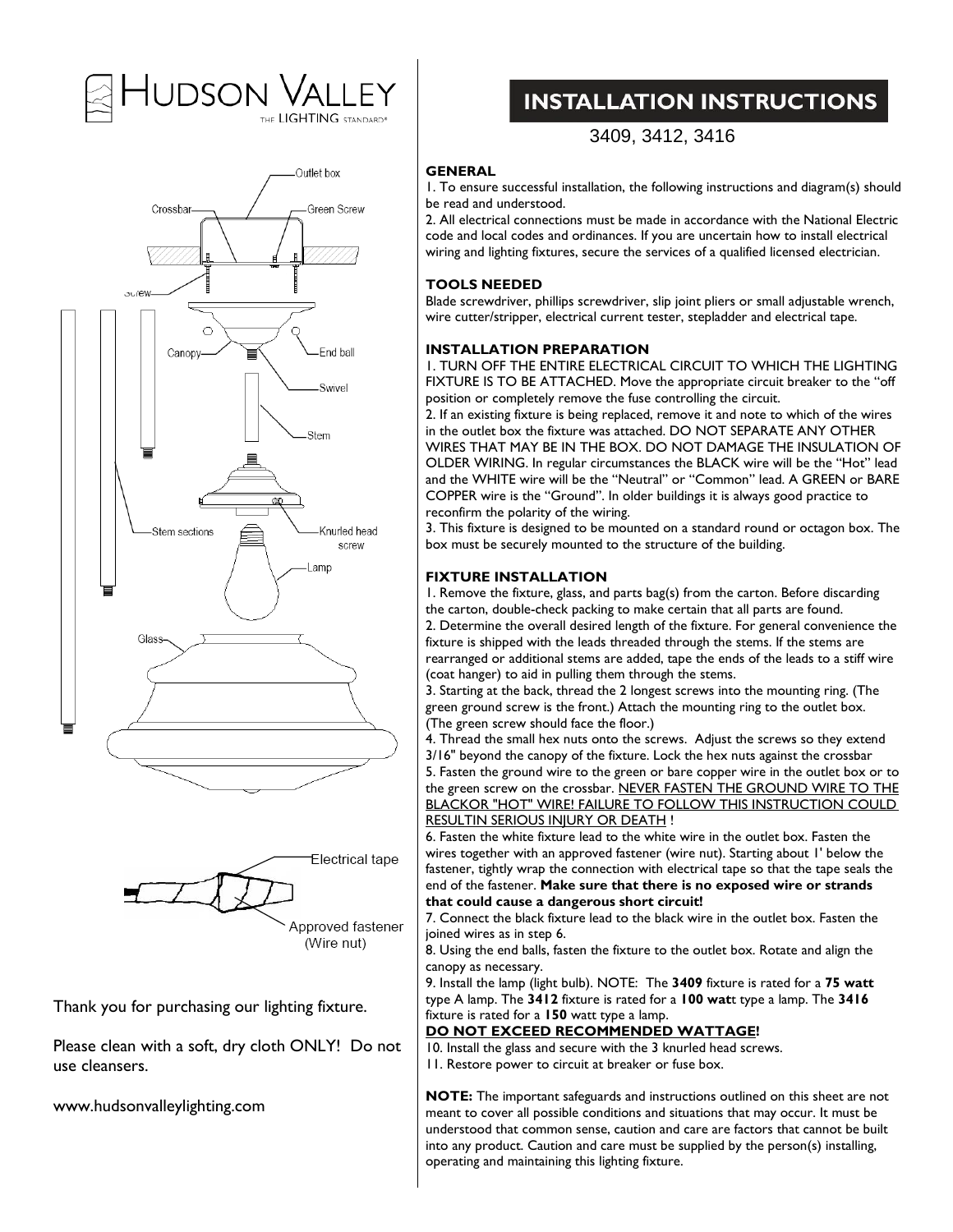# Hudson Valley





Thank you for purchasing our lighting fixture.

Please clean with a soft, dry cloth ONLY! Do not use cleansers.

www.hudsonvalleylighting.com

## **INSTALLATION INSTRUCTIONS**

## 3409, 3412, 3416

## **GENERAL**

1. To ensure successful installation, the following instructions and diagram(s) should be read and understood.

2. All electrical connections must be made in accordance with the National Electric code and local codes and ordinances. If you are uncertain how to install electrical wiring and lighting fixtures, secure the services of a qualified licensed electrician.

## **TOOLS NEEDED**

Blade screwdriver, phillips screwdriver, slip joint pliers or small adjustable wrench, wire cutter/stripper, electrical current tester, stepladder and electrical tape.

## **INSTALLATION PREPARATION**

1. TURN OFF THE ENTIRE ELECTRICAL CIRCUIT TO WHICH THE LIGHTING FIXTURE IS TO BE ATTACHED. Move the appropriate circuit breaker to the "off position or completely remove the fuse controlling the circuit.

2. If an existing fixture is being replaced, remove it and note to which of the wires in the outlet box the fixture was attached. DO NOT SEPARATE ANY OTHER WIRES THAT MAY BE IN THE BOX. DO NOT DAMAGE THE INSULATION OF OLDER WIRING. In regular circumstances the BLACK wire will be the "Hot" lead and the WHITE wire will be the "Neutral" or "Common" lead. A GREEN or BARE COPPER wire is the "Ground". In older buildings it is always good practice to reconfirm the polarity of the wiring.

3. This fixture is designed to be mounted on a standard round or octagon box. The box must be securely mounted to the structure of the building.

## **FIXTURE INSTALLATION**

1. Remove the fixture, glass, and parts bag(s) from the carton. Before discarding the carton, double-check packing to make certain that all parts are found. 2. Determine the overall desired length of the fixture. For general convenience the fixture is shipped with the leads threaded through the stems. If the stems are rearranged or additional stems are added, tape the ends of the leads to a stiff wire (coat hanger) to aid in pulling them through the stems.

3. Starting at the back, thread the 2 longest screws into the mounting ring. (The green ground screw is the front.) Attach the mounting ring to the outlet box. (The green screw should face the floor.)

4. Thread the small hex nuts onto the screws. Adjust the screws so they extend 3/16" beyond the canopy of the fixture. Lock the hex nuts against the crossbar 5. Fasten the ground wire to the green or bare copper wire in the outlet box or to the green screw on the crossbar. NEVER FASTEN THE GROUND WIRE TO THE BLACKOR "HOT" WIRE! FAILURE TO FOLLOW THIS INSTRUCTION COULD RESULTIN SERIOUS INJURY OR DEATH !

6. Fasten the white fixture lead to the white wire in the outlet box. Fasten the wires together with an approved fastener (wire nut). Starting about 1' below the fastener, tightly wrap the connection with electrical tape so that the tape seals the end of the fastener. **Make sure that there is no exposed wire or strands that could cause a dangerous short circuit!**

7. Connect the black fixture lead to the black wire in the outlet box. Fasten the joined wires as in step 6.

8. Using the end balls, fasten the fixture to the outlet box. Rotate and align the canopy as necessary.

9. Install the lamp (light bulb). NOTE: The **3409** fixture is rated for a **75 watt** type A lamp. The **3412** fixture is rated for a **100 wat**t type a lamp. The **3416** fixture is rated for a **150** watt type a lamp.

## **DO NOT EXCEED RECOMMENDED WATTAGE !**

10. Install the glass and secure with the 3 knurled head screws.

11. Restore power to circuit at breaker or fuse box.

**NOTE:** The important safeguards and instructions outlined on this sheet are not meant to cover all possible conditions and situations that may occur. It must be understood that common sense, caution and care are factors that cannot be built into any product. Caution and care must be supplied by the person(s) installing, operating and maintaining this lighting fixture.